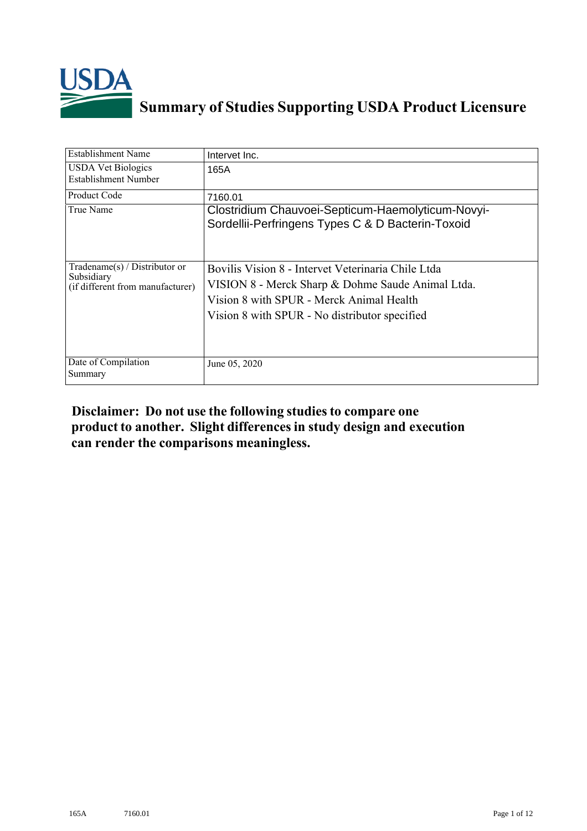

## **Summary of Studies Supporting USDA Product Licensure**

| <b>Establishment Name</b>                                                       | Intervet Inc.                                                                                                                                                                                        |
|---------------------------------------------------------------------------------|------------------------------------------------------------------------------------------------------------------------------------------------------------------------------------------------------|
| <b>USDA Vet Biologics</b><br>Establishment Number                               | 165A                                                                                                                                                                                                 |
| Product Code                                                                    | 7160.01                                                                                                                                                                                              |
| True Name                                                                       | Clostridium Chauvoei-Septicum-Haemolyticum-Novyi-<br>Sordellii-Perfringens Types C & D Bacterin-Toxoid                                                                                               |
| Tradename(s) / Distributor or<br>Subsidiary<br>(if different from manufacturer) | Bovilis Vision 8 - Intervet Veterinaria Chile Ltda<br>VISION 8 - Merck Sharp & Dohme Saude Animal Ltda.<br>Vision 8 with SPUR - Merck Animal Health<br>Vision 8 with SPUR - No distributor specified |
| Date of Compilation<br>Summary                                                  | June 05, 2020                                                                                                                                                                                        |

## **Disclaimer: Do not use the following studiesto compare one product to another. Slight differencesin study design and execution can render the comparisons meaningless.**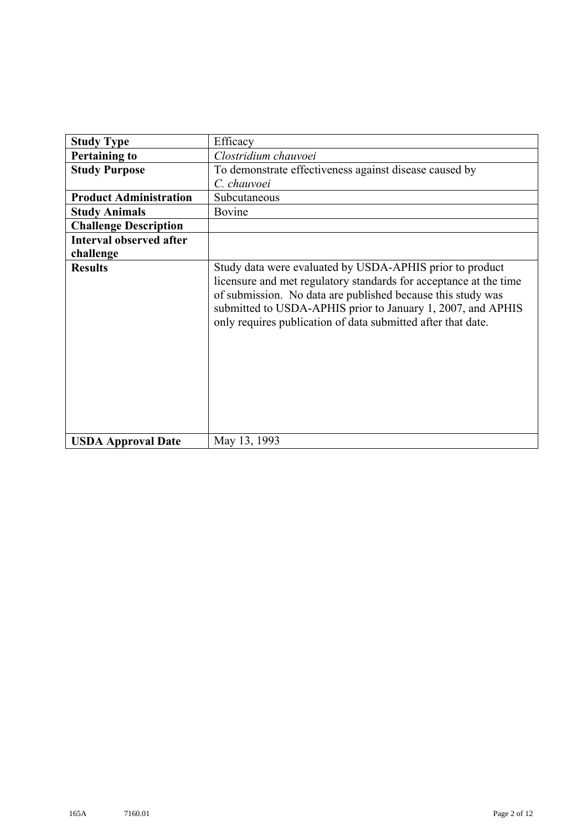| <b>Study Type</b>              | Efficacy                                                                                                                                                                                                                                                                                                                    |
|--------------------------------|-----------------------------------------------------------------------------------------------------------------------------------------------------------------------------------------------------------------------------------------------------------------------------------------------------------------------------|
| <b>Pertaining to</b>           | Clostridium chauvoei                                                                                                                                                                                                                                                                                                        |
| <b>Study Purpose</b>           | To demonstrate effectiveness against disease caused by                                                                                                                                                                                                                                                                      |
|                                | C. chauvoei                                                                                                                                                                                                                                                                                                                 |
| <b>Product Administration</b>  | Subcutaneous                                                                                                                                                                                                                                                                                                                |
| <b>Study Animals</b>           | Bovine                                                                                                                                                                                                                                                                                                                      |
| <b>Challenge Description</b>   |                                                                                                                                                                                                                                                                                                                             |
| <b>Interval observed after</b> |                                                                                                                                                                                                                                                                                                                             |
| challenge                      |                                                                                                                                                                                                                                                                                                                             |
| <b>Results</b>                 | Study data were evaluated by USDA-APHIS prior to product<br>licensure and met regulatory standards for acceptance at the time<br>of submission. No data are published because this study was<br>submitted to USDA-APHIS prior to January 1, 2007, and APHIS<br>only requires publication of data submitted after that date. |
| <b>USDA Approval Date</b>      | May 13, 1993                                                                                                                                                                                                                                                                                                                |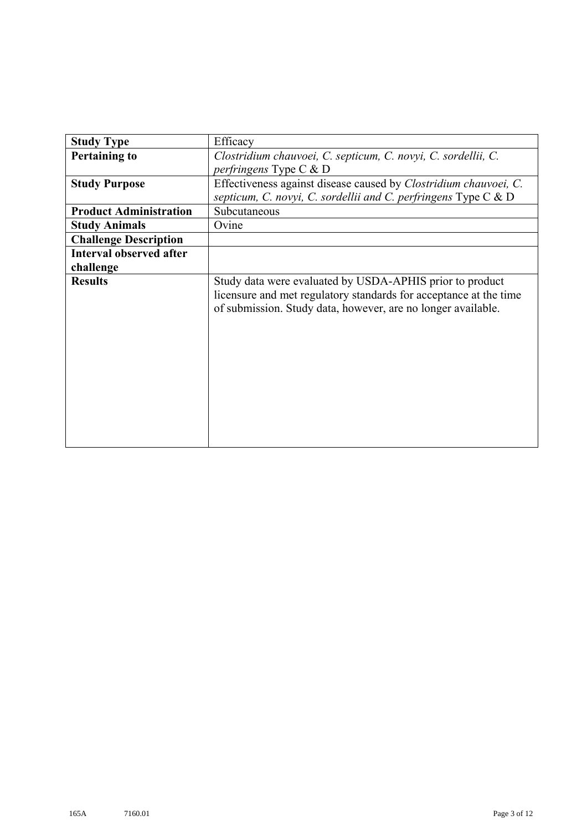| <b>Study Type</b>              | Efficacy                                                                                                                                                                                      |
|--------------------------------|-----------------------------------------------------------------------------------------------------------------------------------------------------------------------------------------------|
| <b>Pertaining to</b>           | Clostridium chauvoei, C. septicum, C. novyi, C. sordellii, C.                                                                                                                                 |
|                                | perfringens Type C & D                                                                                                                                                                        |
| <b>Study Purpose</b>           | Effectiveness against disease caused by <i>Clostridium chauvoei</i> , C.                                                                                                                      |
|                                | septicum, C. novyi, C. sordellii and C. perfringens Type C $\&$ D                                                                                                                             |
| <b>Product Administration</b>  | Subcutaneous                                                                                                                                                                                  |
| <b>Study Animals</b>           | Ovine                                                                                                                                                                                         |
| <b>Challenge Description</b>   |                                                                                                                                                                                               |
| <b>Interval observed after</b> |                                                                                                                                                                                               |
| challenge                      |                                                                                                                                                                                               |
| <b>Results</b>                 | Study data were evaluated by USDA-APHIS prior to product<br>licensure and met regulatory standards for acceptance at the time<br>of submission. Study data, however, are no longer available. |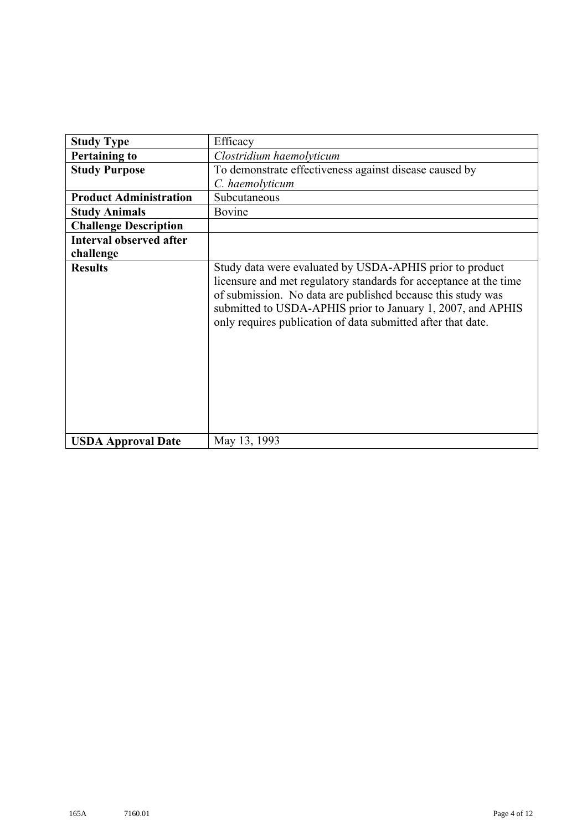| <b>Study Type</b>              | Efficacy                                                                                                                                                                                                                                                                                                                    |
|--------------------------------|-----------------------------------------------------------------------------------------------------------------------------------------------------------------------------------------------------------------------------------------------------------------------------------------------------------------------------|
| <b>Pertaining to</b>           | Clostridium haemolyticum                                                                                                                                                                                                                                                                                                    |
| <b>Study Purpose</b>           | To demonstrate effectiveness against disease caused by                                                                                                                                                                                                                                                                      |
|                                | C. haemolyticum                                                                                                                                                                                                                                                                                                             |
| <b>Product Administration</b>  | Subcutaneous                                                                                                                                                                                                                                                                                                                |
| <b>Study Animals</b>           | Bovine                                                                                                                                                                                                                                                                                                                      |
| <b>Challenge Description</b>   |                                                                                                                                                                                                                                                                                                                             |
| <b>Interval observed after</b> |                                                                                                                                                                                                                                                                                                                             |
| challenge                      |                                                                                                                                                                                                                                                                                                                             |
| <b>Results</b>                 | Study data were evaluated by USDA-APHIS prior to product<br>licensure and met regulatory standards for acceptance at the time<br>of submission. No data are published because this study was<br>submitted to USDA-APHIS prior to January 1, 2007, and APHIS<br>only requires publication of data submitted after that date. |
| <b>USDA Approval Date</b>      | May 13, 1993                                                                                                                                                                                                                                                                                                                |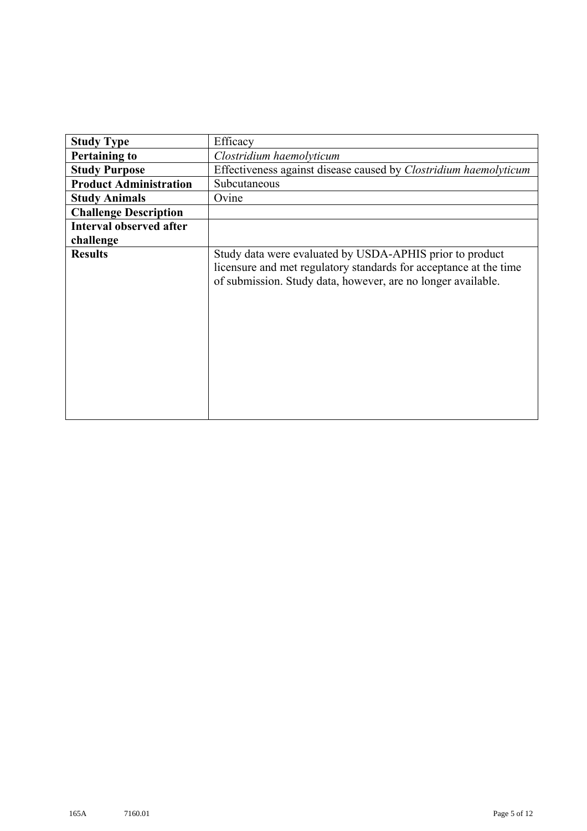| <b>Study Type</b>              | Efficacy                                                                                                                                                                                      |
|--------------------------------|-----------------------------------------------------------------------------------------------------------------------------------------------------------------------------------------------|
| <b>Pertaining to</b>           | Clostridium haemolyticum                                                                                                                                                                      |
| <b>Study Purpose</b>           | Effectiveness against disease caused by Clostridium haemolyticum                                                                                                                              |
| <b>Product Administration</b>  | Subcutaneous                                                                                                                                                                                  |
| <b>Study Animals</b>           | Ovine                                                                                                                                                                                         |
| <b>Challenge Description</b>   |                                                                                                                                                                                               |
| <b>Interval observed after</b> |                                                                                                                                                                                               |
| challenge                      |                                                                                                                                                                                               |
| <b>Results</b>                 | Study data were evaluated by USDA-APHIS prior to product<br>licensure and met regulatory standards for acceptance at the time<br>of submission. Study data, however, are no longer available. |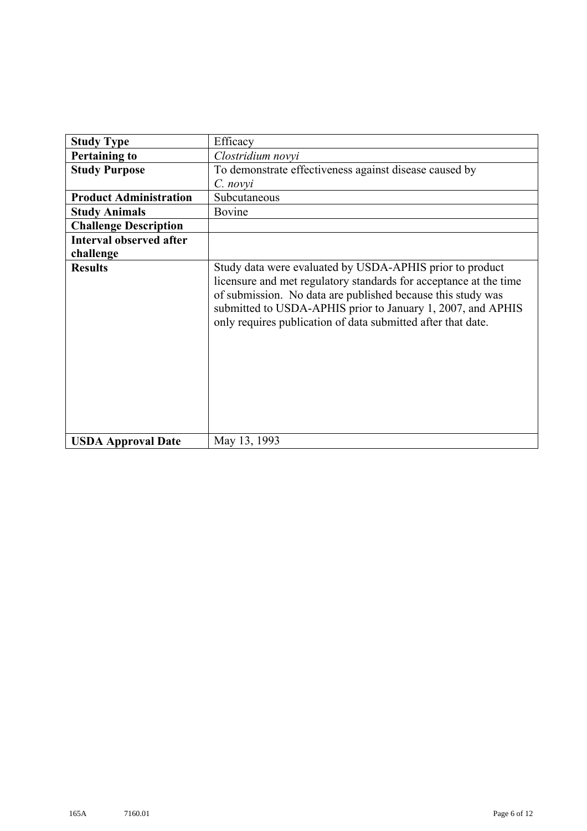| <b>Study Type</b>              | Efficacy                                                                                                                                                                                                                                                                                                                    |
|--------------------------------|-----------------------------------------------------------------------------------------------------------------------------------------------------------------------------------------------------------------------------------------------------------------------------------------------------------------------------|
| <b>Pertaining to</b>           | Clostridium novyi                                                                                                                                                                                                                                                                                                           |
| <b>Study Purpose</b>           | To demonstrate effectiveness against disease caused by                                                                                                                                                                                                                                                                      |
|                                | $C.$ novyi                                                                                                                                                                                                                                                                                                                  |
| <b>Product Administration</b>  | Subcutaneous                                                                                                                                                                                                                                                                                                                |
| <b>Study Animals</b>           | Bovine                                                                                                                                                                                                                                                                                                                      |
| <b>Challenge Description</b>   |                                                                                                                                                                                                                                                                                                                             |
| <b>Interval observed after</b> |                                                                                                                                                                                                                                                                                                                             |
| challenge                      |                                                                                                                                                                                                                                                                                                                             |
| <b>Results</b>                 | Study data were evaluated by USDA-APHIS prior to product<br>licensure and met regulatory standards for acceptance at the time<br>of submission. No data are published because this study was<br>submitted to USDA-APHIS prior to January 1, 2007, and APHIS<br>only requires publication of data submitted after that date. |
| <b>USDA Approval Date</b>      | May 13, 1993                                                                                                                                                                                                                                                                                                                |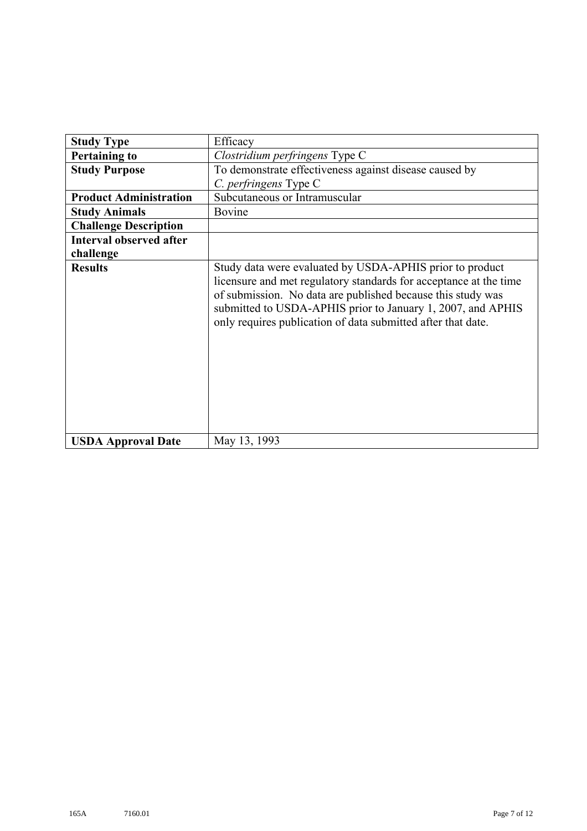| <b>Study Type</b>              | Efficacy                                                                                                                                                                                                                                                                                                                    |
|--------------------------------|-----------------------------------------------------------------------------------------------------------------------------------------------------------------------------------------------------------------------------------------------------------------------------------------------------------------------------|
| <b>Pertaining to</b>           | Clostridium perfringens Type C                                                                                                                                                                                                                                                                                              |
| <b>Study Purpose</b>           | To demonstrate effectiveness against disease caused by                                                                                                                                                                                                                                                                      |
|                                | C. perfringens Type C                                                                                                                                                                                                                                                                                                       |
| <b>Product Administration</b>  | Subcutaneous or Intramuscular                                                                                                                                                                                                                                                                                               |
| <b>Study Animals</b>           | Bovine                                                                                                                                                                                                                                                                                                                      |
| <b>Challenge Description</b>   |                                                                                                                                                                                                                                                                                                                             |
| <b>Interval observed after</b> |                                                                                                                                                                                                                                                                                                                             |
| challenge                      |                                                                                                                                                                                                                                                                                                                             |
| <b>Results</b>                 | Study data were evaluated by USDA-APHIS prior to product<br>licensure and met regulatory standards for acceptance at the time<br>of submission. No data are published because this study was<br>submitted to USDA-APHIS prior to January 1, 2007, and APHIS<br>only requires publication of data submitted after that date. |
| <b>USDA Approval Date</b>      | May 13, 1993                                                                                                                                                                                                                                                                                                                |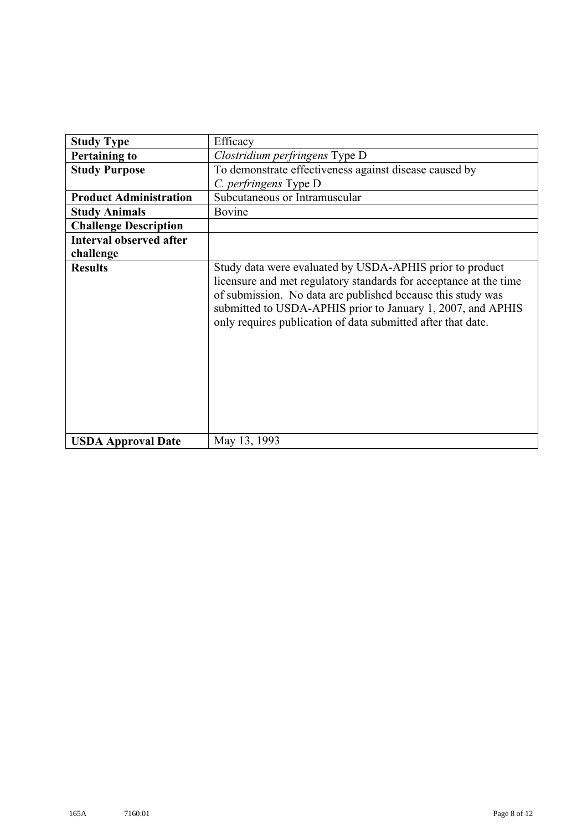| <b>Study Type</b>              | Efficacy                                                                                                                                                                                                                                                                                                                    |
|--------------------------------|-----------------------------------------------------------------------------------------------------------------------------------------------------------------------------------------------------------------------------------------------------------------------------------------------------------------------------|
| <b>Pertaining to</b>           | Clostridium perfringens Type D                                                                                                                                                                                                                                                                                              |
| <b>Study Purpose</b>           | To demonstrate effectiveness against disease caused by                                                                                                                                                                                                                                                                      |
|                                | C. perfringens Type D                                                                                                                                                                                                                                                                                                       |
| <b>Product Administration</b>  | Subcutaneous or Intramuscular                                                                                                                                                                                                                                                                                               |
| <b>Study Animals</b>           | Bovine                                                                                                                                                                                                                                                                                                                      |
| <b>Challenge Description</b>   |                                                                                                                                                                                                                                                                                                                             |
| <b>Interval observed after</b> |                                                                                                                                                                                                                                                                                                                             |
| challenge                      |                                                                                                                                                                                                                                                                                                                             |
| <b>Results</b>                 | Study data were evaluated by USDA-APHIS prior to product<br>licensure and met regulatory standards for acceptance at the time<br>of submission. No data are published because this study was<br>submitted to USDA-APHIS prior to January 1, 2007, and APHIS<br>only requires publication of data submitted after that date. |
| <b>USDA Approval Date</b>      | May 13, 1993                                                                                                                                                                                                                                                                                                                |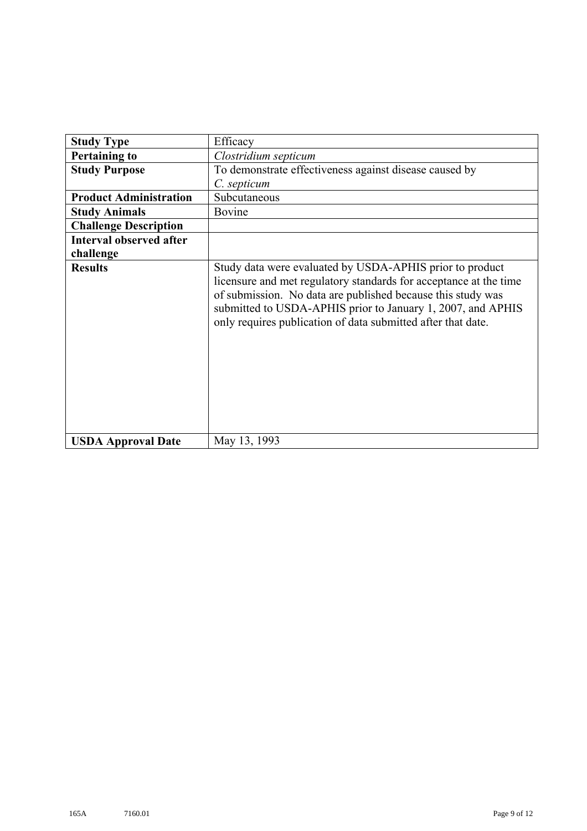| <b>Study Type</b>              | Efficacy                                                                                                                                                                                                                                                                                                                    |
|--------------------------------|-----------------------------------------------------------------------------------------------------------------------------------------------------------------------------------------------------------------------------------------------------------------------------------------------------------------------------|
| <b>Pertaining to</b>           | Clostridium septicum                                                                                                                                                                                                                                                                                                        |
| <b>Study Purpose</b>           | To demonstrate effectiveness against disease caused by                                                                                                                                                                                                                                                                      |
|                                | C. septicum                                                                                                                                                                                                                                                                                                                 |
| <b>Product Administration</b>  | Subcutaneous                                                                                                                                                                                                                                                                                                                |
| <b>Study Animals</b>           | Bovine                                                                                                                                                                                                                                                                                                                      |
| <b>Challenge Description</b>   |                                                                                                                                                                                                                                                                                                                             |
| <b>Interval observed after</b> |                                                                                                                                                                                                                                                                                                                             |
| challenge                      |                                                                                                                                                                                                                                                                                                                             |
| <b>Results</b>                 | Study data were evaluated by USDA-APHIS prior to product<br>licensure and met regulatory standards for acceptance at the time<br>of submission. No data are published because this study was<br>submitted to USDA-APHIS prior to January 1, 2007, and APHIS<br>only requires publication of data submitted after that date. |
| <b>USDA Approval Date</b>      | May 13, 1993                                                                                                                                                                                                                                                                                                                |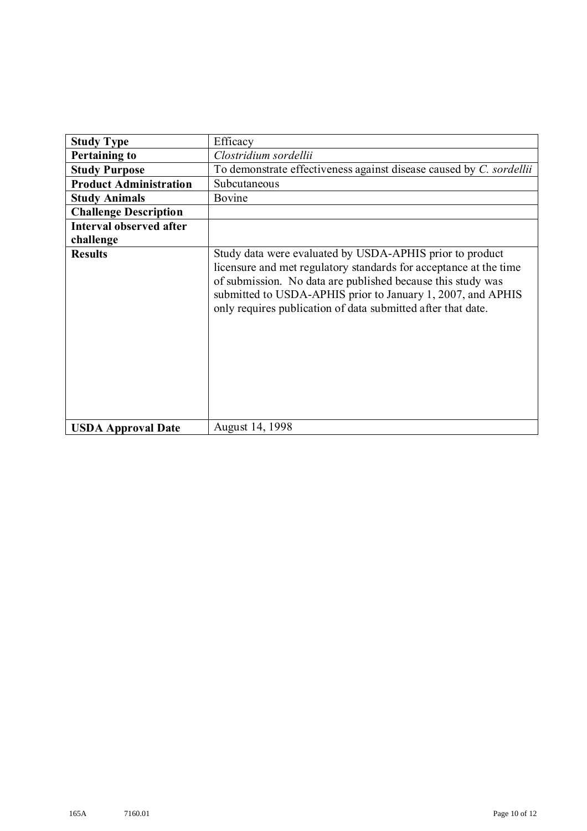| <b>Study Type</b>              | Efficacy                                                                                                                                                                                                                                                                                                                    |
|--------------------------------|-----------------------------------------------------------------------------------------------------------------------------------------------------------------------------------------------------------------------------------------------------------------------------------------------------------------------------|
| <b>Pertaining to</b>           | Clostridium sordellii                                                                                                                                                                                                                                                                                                       |
| <b>Study Purpose</b>           | To demonstrate effectiveness against disease caused by C. sordellii                                                                                                                                                                                                                                                         |
| <b>Product Administration</b>  | Subcutaneous                                                                                                                                                                                                                                                                                                                |
| <b>Study Animals</b>           | Bovine                                                                                                                                                                                                                                                                                                                      |
| <b>Challenge Description</b>   |                                                                                                                                                                                                                                                                                                                             |
| <b>Interval observed after</b> |                                                                                                                                                                                                                                                                                                                             |
| challenge                      |                                                                                                                                                                                                                                                                                                                             |
| <b>Results</b>                 | Study data were evaluated by USDA-APHIS prior to product<br>licensure and met regulatory standards for acceptance at the time<br>of submission. No data are published because this study was<br>submitted to USDA-APHIS prior to January 1, 2007, and APHIS<br>only requires publication of data submitted after that date. |
| <b>USDA Approval Date</b>      | August 14, 1998                                                                                                                                                                                                                                                                                                             |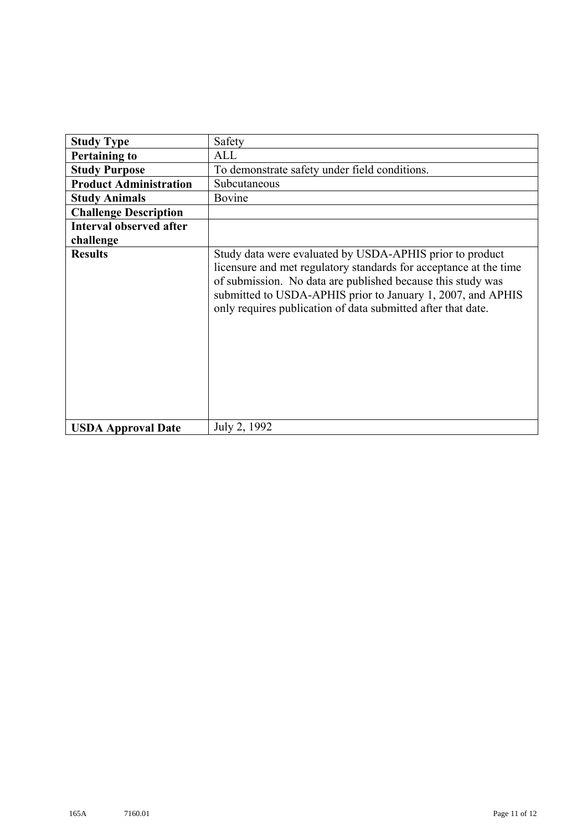| <b>Study Type</b>              | Safety                                                                                                                                                                                                                                                                                                                      |
|--------------------------------|-----------------------------------------------------------------------------------------------------------------------------------------------------------------------------------------------------------------------------------------------------------------------------------------------------------------------------|
| <b>Pertaining to</b>           | ALL                                                                                                                                                                                                                                                                                                                         |
| <b>Study Purpose</b>           | To demonstrate safety under field conditions.                                                                                                                                                                                                                                                                               |
| <b>Product Administration</b>  | Subcutaneous                                                                                                                                                                                                                                                                                                                |
| <b>Study Animals</b>           | Bovine                                                                                                                                                                                                                                                                                                                      |
| <b>Challenge Description</b>   |                                                                                                                                                                                                                                                                                                                             |
| <b>Interval observed after</b> |                                                                                                                                                                                                                                                                                                                             |
| challenge                      |                                                                                                                                                                                                                                                                                                                             |
| <b>Results</b>                 | Study data were evaluated by USDA-APHIS prior to product<br>licensure and met regulatory standards for acceptance at the time<br>of submission. No data are published because this study was<br>submitted to USDA-APHIS prior to January 1, 2007, and APHIS<br>only requires publication of data submitted after that date. |
| <b>USDA Approval Date</b>      | July 2, 1992                                                                                                                                                                                                                                                                                                                |